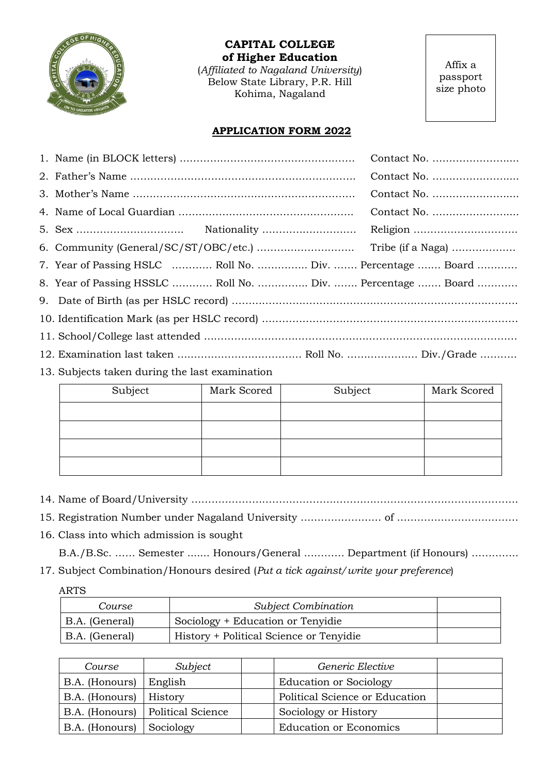

**CAPITAL COLLEGE of Higher Education**

(*Affiliated to Nagaland University*) Below State Library, P.R. Hill Kohima, Nagaland

Affix a passport size photo

## **APPLICATION FORM 2022**

|  |                                                             | Contact No. |  |  |
|--|-------------------------------------------------------------|-------------|--|--|
|  |                                                             | Contact No. |  |  |
|  |                                                             | Contact No. |  |  |
|  |                                                             | Contact No. |  |  |
|  |                                                             |             |  |  |
|  |                                                             |             |  |  |
|  | 7. Year of Passing HSLC  Roll No.  Div.  Percentage  Board  |             |  |  |
|  | 8. Year of Passing HSSLC  Roll No.  Div.  Percentage  Board |             |  |  |
|  |                                                             |             |  |  |
|  |                                                             |             |  |  |
|  |                                                             |             |  |  |
|  |                                                             |             |  |  |

13. Subjects taken during the last examination

| Subject | Mark Scored | Subject | Mark Scored |
|---------|-------------|---------|-------------|
|         |             |         |             |
|         |             |         |             |
|         |             |         |             |
|         |             |         |             |

- 14. Name of Board/University …………………………………………………………………………………….
- 15. Registration Number under Nagaland University …………………… of ………………………………
- 16. Class into which admission is sought
	- B.A./B.Sc. …… Semester ....... Honours/General ………… Department (if Honours) …………..
- 17. Subject Combination/Honours desired (*Put a tick against/write your preference*)

ARTS

| Course         | <b>Subject Combination</b>              |  |
|----------------|-----------------------------------------|--|
| B.A. (General) | Sociology + Education or Tenyidie       |  |
| B.A. (General) | History + Political Science or Tenyidie |  |

| Course                 | Subject                  | Generic Elective               |  |
|------------------------|--------------------------|--------------------------------|--|
| B.A. (Honours) English |                          | <b>Education or Sociology</b>  |  |
| B.A. (Honours)         | <b>History</b>           | Political Science or Education |  |
| B.A. (Honours)         | <b>Political Science</b> | Sociology or History           |  |
| B.A. (Honours)         | Sociology                | <b>Education or Economics</b>  |  |